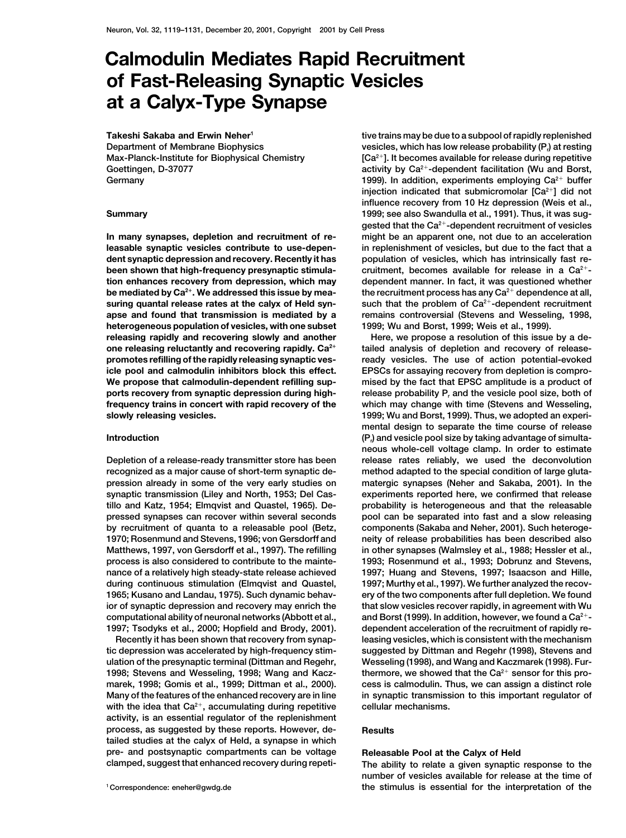## **Calmodulin Mediates Rapid Recruitment of Fast-Releasing Synaptic Vesicles at a Calyx-Type Synapse**

**Takeshi Sakaba and Erwin Neher1 Department of Membrane Biophysics Max-Planck-Institute for Biophysical Chemistry Goettingen, D-37077 Germany**

**heterogeneous population of vesicles, with one subset 1999; Wu and Borst, 1999; Weis et al., 1999).**

with the idea that Ca<sup>2+</sup>, accumulating during repetitive cellular mechanisms. **activity, is an essential regulator of the replenishment process, as suggested by these reports. However, de- Results tailed studies at the calyx of Held, a synapse in which pre- and postsynaptic compartments can be voltage Releasable Pool at the Calyx of Held clamped, suggest that enhanced recovery during repeti- The ability to relate a given synaptic response to the**

**tive trains may be due to a subpool of rapidly replenished vesicles, which has low release probability (P<sub>r</sub>) at resting [Ca2]. It becomes available for release during repetitive activity by Ca2-dependent facilitation (Wu and Borst, 1999). In addition, experiments employing Ca<sup>2+</sup> buffer injection indicated that submicromolar [Ca2] did not influence recovery from 10 Hz depression (Weis et al., Summary 1999; see also Swandulla et al., 1991). Thus, it was suggested that the Ca2-dependent recruitment of vesicles In many synapses, depletion and recruitment of re- might be an apparent one, not due to an acceleration leasable synaptic vesicles contribute to use-depen- in replenishment of vesicles, but due to the fact that a dent synaptic depression and recovery. Recently it has population of vesicles, which has intrinsically fast rebeen shown that high-frequency presynaptic stimula-** cruitment, becomes available for release in a Ca<sup>2+</sup>**tion enhances recovery from depression, which may dependent manner. In fact, it was questioned whether be mediated by Ca2. We addressed this issue by mea- the recruitment process has any Ca2 dependence at all, suring quantal release rates at the calyx of Held syn-** such that the problem of Ca<sup>2+</sup>-dependent recruitment **apse and found that transmission is mediated by a remains controversial (Stevens and Wesseling, 1998,**

**releasing rapidly and recovering slowly and another Here, we propose a resolution of this issue by a deone releasing reluctantly and recovering rapidly. Ca**<sup>2+</sup> tailed analysis of depletion and recovery of release**promotes refilling of the rapidly releasing synaptic ves- ready vesicles. The use of action potential-evoked icle pool and calmodulin inhibitors block this effect. EPSCs for assaying recovery from depletion is compro-We propose that calmodulin-dependent refilling sup- mised by the fact that EPSC amplitude is a product of ports recovery from synaptic depression during high- release probability Pr and the vesicle pool size, both of frequency trains in concert with rapid recovery of the which may change with time (Stevens and Wesseling, slowly releasing vesicles. 1999; Wu and Borst, 1999). Thus, we adopted an experimental design to separate the time course of release (P<sub>i</sub>) and vesicle pool size by taking advantage of simulta- (P<sub>i</sub>) and vesicle pool size by taking advantage of simultaneous whole-cell voltage clamp. In order to estimate Depletion of a release-ready transmitter store has been release rates reliably, we used the deconvolution recognized as a major cause of short-term synaptic de- method adapted to the special condition of large glutapression already in some of the very early studies on matergic synapses (Neher and Sakaba, 2001). In the synaptic transmission (Liley and North, 1953; Del Cas- experiments reported here, we confirmed that release tillo and Katz, 1954; Elmqvist and Quastel, 1965). De- probability is heterogeneous and that the releasable pressed synapses can recover within several seconds pool can be separated into fast and a slow releasing by recruitment of quanta to a releasable pool (Betz, components (Sakaba and Neher, 2001). Such heteroge-1970; Rosenmund and Stevens, 1996; von Gersdorff and neity of release probabilities has been described also Matthews, 1997, von Gersdorff et al., 1997). The refilling in other synapses (Walmsley et al., 1988; Hessler et al., process is also considered to contribute to the mainte- 1993; Rosenmund et al., 1993; Dobrunz and Stevens, nance of a relatively high steady-state release achieved 1997; Huang and Stevens, 1997; Isaacson and Hille,** during continuous stimulation (Elmqvist and Quastel, 1997; Murthy et al., 1997). We further analyzed the recov-**1965; Kusano and Landau, 1975). Such dynamic behav- ery of the two components after full depletion. We found ior of synaptic depression and recovery may enrich the that slow vesicles recover rapidly, in agreement with Wu and Borst (1999). In addition, however, we found a Ca2 computational ability of neuronal networks (Abbott et al., - 1997; Tsodyks et al., 2000; Hopfield and Brody, 2001). dependent acceleration of the recruitment of rapidly re-Recently it has been shown that recovery from synap- leasing vesicles, which is consistent with the mechanism tic depression was accelerated by high-frequency stim- suggested by Dittman and Regehr (1998), Stevens and ulation of the presynaptic terminal (Dittman and Regehr, Wesseling (1998), and Wang and Kaczmarek (1998). Fur-**1998; Stevens and Wesseling, 1998; Wang and Kacz-<br>thermore, we showed that the Ca<sup>2+</sup> sensor for this pro**marek, 1998; Gomis et al., 1999; Dittman et al., 2000). cess is calmodulin. Thus, we can assign a distinct role Many of the features of the enhanced recovery are in line in synaptic transmission to this important regulator of**

**number of vesicles available for release at the time of the stimulus is essential for the interpretation of the <sup>1</sup> Correspondence: eneher@gwdg.de**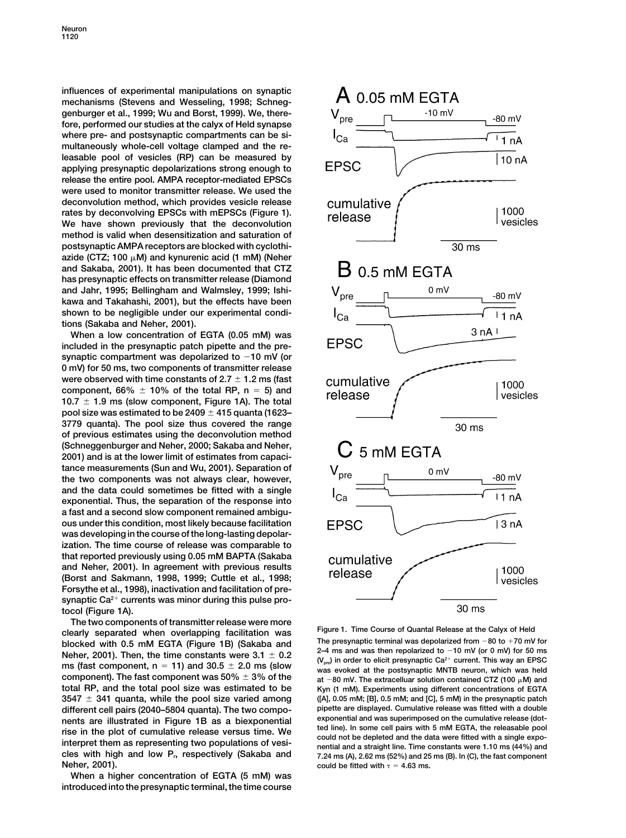**influences of experimental manipulations on synaptic mechanisms (Stevens and Wesseling, 1998; Schneggenburger et al., 1999; Wu and Borst, 1999). We, therefore, performed our studies at the calyx of Held synapse where pre- and postsynaptic compartments can be simultaneously whole-cell voltage clamped and the releasable pool of vesicles (RP) can be measured by applying presynaptic depolarizations strong enough to release the entire pool. AMPA receptor-mediated EPSCs were used to monitor transmitter release. We used the deconvolution method, which provides vesicle release rates by deconvolving EPSCs with mEPSCs (Figure 1). We have shown previously that the deconvolution method is valid when desensitization and saturation of postsynaptic AMPA receptors are blocked with cyclothi**azide (CTZ; 100 µM) and kynurenic acid (1 mM) (Neher **and Sakaba, 2001). It has been documented that CTZ has presynaptic effects on transmitter release (Diamond and Jahr, 1995; Bellingham and Walmsley, 1999; Ishikawa and Takahashi, 2001), but the effects have been shown to be negligible under our experimental conditions (Sakaba and Neher, 2001).**

**When a low concentration of EGTA (0.05 mM) was included in the presynaptic patch pipette and the presynaptic compartment was depolarized to 10 mV (or 0 mV) for 50 ms, two components of transmitter release were observed with time constants of 2.7 1.2 ms (fast** component,  $66\% \pm 10\%$  of the total RP,  $n = 5$ ) and **10.7 1.9 ms (slow component, Figure 1A). The total pool size was estimated to be 2409 415 quanta (1623– 3779 quanta). The pool size thus covered the range of previous estimates using the deconvolution method (Schneggenburger and Neher, 2000; Sakaba and Neher, 2001) and is at the lower limit of estimates from capacitance measurements (Sun and Wu, 2001). Separation of the two components was not always clear, however, and the data could sometimes be fitted with a single exponential. Thus, the separation of the response into a fast and a second slow component remained ambiguous under this condition, most likely because facilitation was developing in the course of the long-lasting depolarization. The time course of release was comparable to that reported previously using 0.05 mM BAPTA (Sakaba and Neher, 2001). In agreement with previous results (Borst and Sakmann, 1998, 1999; Cuttle et al., 1998; Forsythe et al., 1998), inactivation and facilitation of pre**synaptic Ca<sup>2+</sup> currents was minor during this pulse pro**tocol (Figure 1A).**

**The two components of transmitter release were more**<br> **Figure 1. Time Course of Quantal Release at the Calyx of Held**<br> **Figure 1. Time Course of Quantal Release at the Calyx of Held**<br> **Cology of the presynaptic terminal w component). The fast component was 50%**  $\pm$  3% of the

**When a higher concentration of EGTA (5 mM) was introduced into the presynaptic terminal, the time course**



blocked with 0.5 mM EGTA (Figure 1B) (Sakaba and<br>Neher, 2001). Then, the time constants were  $3.1 \pm 0.2$ <br>The presynaptic terminal was depolarized from -80 to +70 mV for<br>Neher, 2001). Then, the time constants were  $3.1 \pm 0$ at  $-80$  mV. The extracelluar solution contained CTZ (100  $\mu$ M) and **total RP, and the total pool size was estimated to be Kyn (1 mM). Experiments using different concentrations of EGTA 3547 341 quanta, while the pool size varied among ([A], 0.05 mM; [B], 0.5 mM; and [C], 5 mM) in the presynaptic patch different cell pairs (2040–5804 quanta). The two compo- pipette are displayed. Cumulative release was fitted with a double** nents are illustrated in Figure 1B as a biexponential exponential and was superimposed on the cumulative release (dot-<br>rise in the plot of cumulative release versus time. We<br>interpret them as representing two populations **cles with high and low Pr, respectively (Sakaba and 7.24 ms (A), 2.62 ms (52%) and 25 ms (B). In (C), the fast component could be fitted with**  $\tau = 4.63$  ms.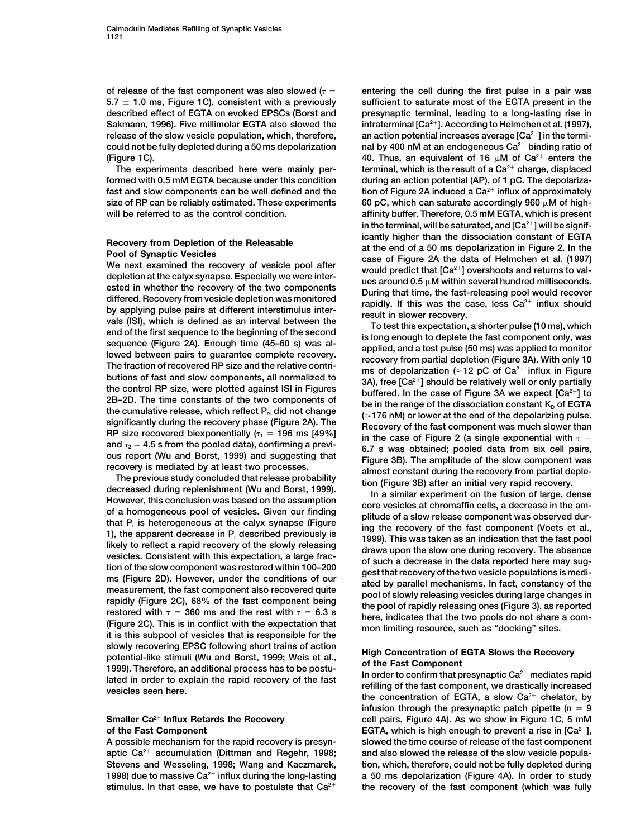size of RP can be reliably estimated. These experiments

ested in whether the recovery of the two components<br>
ested in whether the recovery of the two components<br>
distinguished fine, the fast-releasing prod would recover<br>
distinguished movements<br>
distinguished in the second prop

slowly recovering EPSC following short trains of action<br>potential-like stimuli (Wu and Borst, 1999; Weis et al.,<br>1999). Therefore, an additional process has to be postu-<br>lated in order to explain the rapid recovery of the

**1998) due to massive Ca2 influx during the long-lasting a 50 ms depolarization (Figure 4A). In order to study** stimulus. In that case, we have to postulate that Ca<sup>2+</sup> the recovery of the fast component (which was fully

of release of the fast component was also slowed  $(r =$  entering the cell during the first pulse in a pair was **5.7 1.0 ms, Figure 1C), consistent with a previously sufficient to saturate most of the EGTA present in the described effect of EGTA on evoked EPSCs (Borst and presynaptic terminal, leading to a long-lasting rise in intraterminal [Ca2 Sakmann, 1996). Five millimolar EGTA also slowed the ]. According to Helmchen et al. (1997), release of the slow vesicle population, which, therefore, an action potential increases average [Ca2] in the terminal by 400 nM at an endogeneous Ca2 could not be fully depleted during a 50 ms depolarization binding ratio of** (Figure 1C).  $\blacksquare$  40. Thus, an equivalent of 16  $\mu$ M of Ca<sup>2+</sup> enters the **terminal, which is the result of a Ca2 The experiments described here were mainly per- charge, displaced** formed with 0.5 mM EGTA because under this condition during an action potential (AP), of 1 pC. The depolarizafast and slow components can be well defined and the **intum** tion of Figure 2A induced a Ca<sup>2+</sup> influx of approximately 60 pC, which can saturate accordingly 960  $\mu$ M of high**will be referred to as the control condition. affinity buffer. Therefore, 0.5 mM EGTA, which is present in the terminal, will be saturated, and [Ca2] will be signif-**Recovery from Depletion of the Releasable<br>
Pool of Synaptic Vesicles<br>
We next examined the recovery of vesicle pool after<br>
We next examined the recovery of vesicle pool after<br>
depletion at the calyx synapse. Especially we

**infusion through the presynaptic patch pipette (n 9 Smaller Ca<sup>2+</sup> Influx Retards the Recovery cell pairs, Figure 4A). As we show in Figure 1C, 5 mM of the Fast Component EGTA, which is high enough to prevent a rise in [Ca2], A possible mechanism for the rapid recovery is presyn- slowed the time course of release of the fast component** aptic Ca<sup>2+</sup> accumulation (Dittman and Regehr, 1998; and also slowed the release of the slow vesicle popula-**Stevens and Wesseling, 1998; Wang and Kaczmarek, tion, which, therefore, could not be fully depleted during**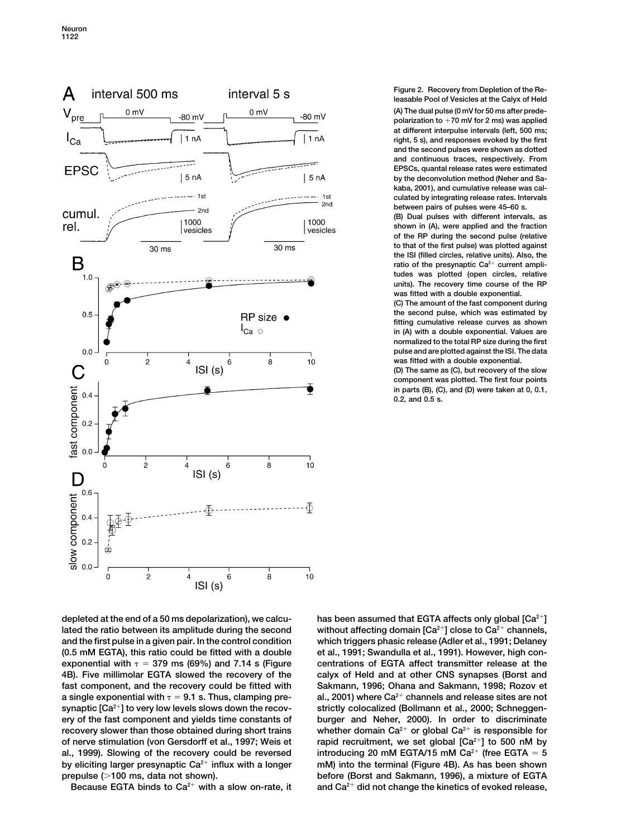

**Figure 2. Recovery from Depletion of the Releasable Pool of Vesicles at the Calyx of Held (A) The dual pulse (0 mV for 50 ms after predepolarization to 70 mV for 2 ms) was applied at different interpulse intervals (left, 500 ms; right, 5 s), and responses evoked by the first and the second pulses were shown as dotted and continuous traces, respectively. From EPSCs, quantal release rates were estimated by the deconvolution method (Neher and Sakaba, 2001), and cumulative release was calculated by integrating release rates. Intervals between pairs of pulses were 45–60 s.**

**(B) Dual pulses with different intervals, as shown in (A), were applied and the fraction of the RP during the second pulse (relative to that of the first pulse) was plotted against the ISI (filled circles, relative units). Also, the** ratio of the presynaptic Ca<sup>2+</sup> current ampli**tudes was plotted (open circles, relative units). The recovery time course of the RP was fitted with a double exponential.**

**(C) The amount of the fast component during the second pulse, which was estimated by fitting cumulative release curves as shown in (A) with a double exponential. Values are normalized to the total RP size during the first pulse and are plotted against the ISI. The data was fitted with a double exponential.**

**(D) The same as (C), but recovery of the slow component was plotted. The first four points in parts (B), (C), and (D) were taken at 0, 0.1, 0.2, and 0.5 s.**

**lated the ratio between its amplitude during the second** without affecting domain [Ca<sup>2+</sup>] close to Ca<sup>2+</sup> channels, **and the first pulse in a given pair. In the control condition which triggers phasic release (Adler et al., 1991; Delaney (0.5 mM EGTA), this ratio could be fitted with a double et al., 1991; Swandulla et al., 1991). However, high con**exponential with  $\tau = 379$  ms (69%) and 7.14 s (Figure centrations of EGTA affect transmitter release at the **4B). Five millimolar EGTA slowed the recovery of the calyx of Held and at other CNS synapses (Borst and synaptic [Ca2] to very low levels slows down the recov- strictly colocalized (Bollmann et al., 2000; Schneggenery of the fast component and yields time constants of burger and Neher, 2000). In order to discriminate recovery slower than those obtained during short trains** whether domain Ca<sup>2+</sup> or global Ca<sup>2+</sup> is responsible for **rapid recruitment, we set global [Ca<sup>2+</sup>] to 500 nM by** of nerver stimulation (voltarial, we set global [Ca<sup>2+</sup>] to 500 nM by al., 1999). Slowing of the recovery could be reversed introducing 20 mM EGTA/15 mM  $Ca<sup>2+</sup>$  (free EGTA  $= 5$ **by eliciting larger presynaptic Ca<sup>2+</sup>** influx with a longer mM) into the terminal (Figure 4B). As has been shown

**depleted at the end of a 50 ms depolarization), we calcu- has been assumed that EGTA affects only global [Ca2] fast component, and the recovery could be fitted with Sakmann, 1996; Ohana and Sakmann, 1998; Rozov et a** single exponential with  $\tau$  = 9.1 s. Thus, clamping pre- al., 2001) where Ca<sup>2+</sup> channels and release sites are not **prepulse (100 ms, data not shown). before (Borst and Sakmann, 1996), a mixture of EGTA** Because EGTA binds to Ca<sup>2+</sup> with a slow on-rate, it and Ca<sup>2+</sup> did not change the kinetics of evoked release,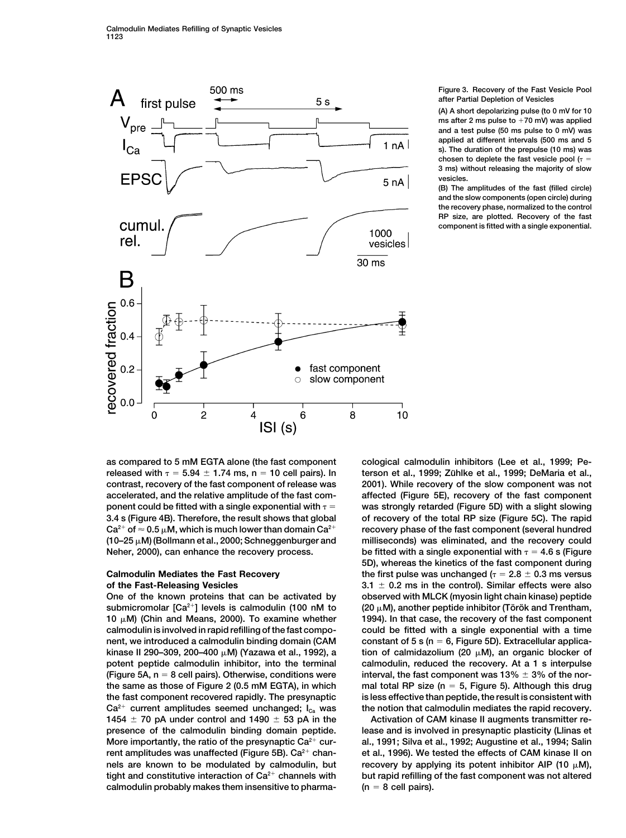

**Figure 3. Recovery of the Fast Vesicle Pool after Partial Depletion of Vesicles**

**(A) A short depolarizing pulse (to 0 mV for 10 ms after 2 ms pulse to 70 mV) was applied and a test pulse (50 ms pulse to 0 mV) was applied at different intervals (500 ms and 5 s). The duration of the prepulse (10 ms) was** chosen to deplete the fast vesicle pool  $(r =$ **3 ms) without releasing the majority of slow vesicles.**

**(B) The amplitudes of the fast (filled circle) and the slow components (open circle) during the recovery phase, normalized to the control RP size, are plotted. Recovery of the fast component is fitted with a single exponential.**

 $Ca^{2+}$  of  $\approx 0.5 \mu$ M, which is much lower than domain  $Ca^{2+}$  $(10-25 \mu M)$  (Bollmann et al., 2000; Schneggenburger and

submicromolar  $[Ca^{2+}]$  levels is calmodulin (100 nM to 10  $\mu$ M) (Chin and Means, 2000). To examine whether **calmodulin is involved in rapid refilling of the fast compo- could be fitted with a single exponential with a time nent, we introduced a calmodulin binding domain (CAM constant of 5 s (n 6, Figure 5D). Extracellular applica**kinase II 290-309, 200-400 µM) (Yazawa et al., 1992), a **potent peptide calmodulin inhibitor, into the terminal calmodulin, reduced the recovery. At a 1 s interpulse (Figure 5A, n 8 cell pairs). Otherwise, conditions were interval, the fast component was 13% 3% of the northe same as those of Figure 2 (0.5 mM EGTA), in which mal total RP size (n 5, Figure 5). Although this drug the fast component recovered rapidly. The presynaptic is less effective than peptide, the result is consistent with**  $Ca^{2+}$  current amplitudes seemed unchanged;  $I_{ca}$  was the notion that calmodulin mediates the rapid recovery. **1454 70 pA under control and 1490 53 pA in the Activation of CAM kinase II augments transmitter represence of the calmodulin binding domain peptide. lease and is involved in presynaptic plasticity (Llinas et** More importantly, the ratio of the presynaptic Ca<sup>2+</sup> cur- al., 1991; Silva et al., 1992; Augustine et al., 1994; Salin **rent amplitudes was unaffected (Figure 5B). Ca<sup>2+</sup> chan- et al., 1996). We tested the effects of CAM kinase II on** nels are known to be modulated by calmodulin, but **tight and constitutive interaction of Ca<sup>2+</sup> channels with but rapid refilling of the fast component was not altered** calmodulin probably makes them insensitive to pharma-  $(n = 8$  cell pairs).

**as compared to 5 mM EGTA alone (the fast component cological calmodulin inhibitors (Lee et al., 1999; Pe**released with  $\tau = 5.94 \pm 1.74$  ms,  $n = 10$  cell pairs). In terson et al., 1999; Zühlke et al., 1999; DeMaria et al., **contrast, recovery of the fast component of release was 2001). While recovery of the slow component was not accelerated, and the relative amplitude of the fast com- affected (Figure 5E), recovery of the fast component ponent could be fitted with a single exponential with was strongly retarded (Figure 5D) with a slight slowing 3.4 s (Figure 4B). Therefore, the result shows that global of recovery of the total RP size (Figure 5C). The rapid** recovery phase of the fast component (several hundred milliseconds) was eliminated, and the recovery could **Neher, 2000), can enhance the recovery process. be fitted with a single exponential with 4.6 s (Figure 5D), whereas the kinetics of the fast component during Calmodulin Mediates the Fast Recovery the first pulse was unchanged**  $(\tau = 2.8 \pm 0.3 \text{ ms} \text{ versus})$ **of the Fast-Releasing Vesicles 3.1 0.2 ms in the control). Similar effects were also One of the known proteins that can be activated by observed with MLCK (myosin light chain kinase) peptide (20**  $\mu$ **M), another peptide inhibitor (Török and Trentham, 1994). In that case, the recovery of the fast component M) (Yazawa et al., 1992), a tion of calmidazolium (20 µM), an organic blocker of** 

recovery by applying its potent inhibitor AIP  $(10 \mu M)$ ,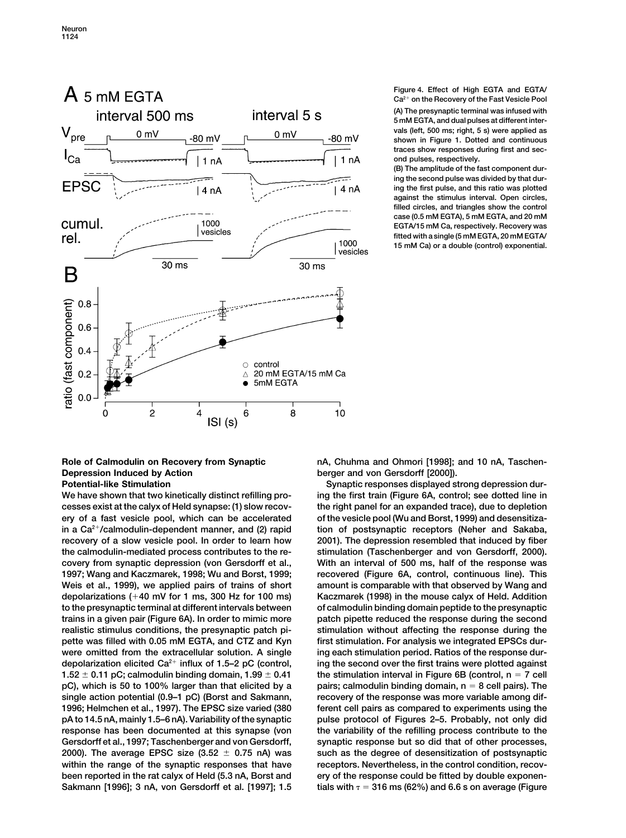

**Figure 4. Effect of High EGTA and EGTA/ Ca2 on the Recovery of the Fast Vesicle Pool (A) The presynaptic terminal was infused with 5 mM EGTA, and dual pulses at different intervals (left, 500 ms; right, 5 s) were applied as shown in Figure 1. Dotted and continuous traces show responses during first and second pulses, respectively.**

**(B) The amplitude of the fast component during the second pulse was divided by that during the first pulse, and this ratio was plotted against the stimulus interval. Open circles, filled circles, and triangles show the control case (0.5 mM EGTA), 5 mM EGTA, and 20 mM EGTA/15 mM Ca, respectively. Recovery was fitted with a single (5 mM EGTA, 20 mM EGTA/ 15 mM Ca) or a double (control) exponential.**

# **Depression Induced by Action berger and von Gersdorff [2000]).**

**cesses exist at the calyx of Held synapse: (1) slow recov- the right panel for an expanded trace), due to depletion ery of a fast vesicle pool, which can be accelerated of the vesicle pool (Wu and Borst, 1999) and desensitizain a Ca2/calmodulin-dependent manner, and (2) rapid tion of postsynaptic receptors (Neher and Sakaba, recovery of a slow vesicle pool. In order to learn how 2001). The depression resembled that induced by fiber the calmodulin-mediated process contributes to the re- stimulation (Taschenberger and von Gersdorff, 2000). covery from synaptic depression (von Gersdorff et al., With an interval of 500 ms, half of the response was 1997; Wang and Kaczmarek, 1998; Wu and Borst, 1999; recovered (Figure 6A, control, continuous line). This Weis et al., 1999), we applied pairs of trains of short amount is comparable with that observed by Wang and depolarizations (40 mV for 1 ms, 300 Hz for 100 ms) Kaczmarek (1998) in the mouse calyx of Held. Addition to the presynaptic terminal at different intervals between of calmodulin binding domain peptide to the presynaptic trains in a given pair (Figure 6A). In order to mimic more patch pipette reduced the response during the second realistic stimulus conditions, the presynaptic patch pi- stimulation without affecting the response during the** pette was filled with 0.05 mM EGTA, and CTZ and Kyn first stimulation. For analysis we integrated EPSCs dur**were omitted from the extracellular solution. A single ing each stimulation period. Ratios of the response durdepolarization elicited Ca2 influx of 1.5–2 pC (control, ing the second over the first trains were plotted against 1.52 0.11 pC; calmodulin binding domain, 1.99 0.41 the stimulation interval in Figure 6B (control, n 7 cell pC), which is 50 to 100% larger than that elicited by a pairs; calmodulin binding domain, n 8 cell pairs). The single action potential (0.9–1 pC) (Borst and Sakmann, recovery of the response was more variable among dif-1996; Helmchen et al., 1997). The EPSC size varied (380 ferent cell pairs as compared to experiments using the pA to 14.5 nA, mainly 1.5–6 nA). Variability of the synaptic pulse protocol of Figures 2–5. Probably, not only did response has been documented at this synapse (von the variability of the refilling process contribute to the Gersdorff et al., 1997; Taschenberger and von Gersdorff, synaptic response but so did that of other processes, 2000). The average EPSC size (3.52 0.75 nA) was such as the degree of desensitization of postsynaptic within the range of the synaptic responses that have receptors. Nevertheless, in the control condition, recovbeen reported in the rat calyx of Held (5.3 nA, Borst and ery of the response could be fitted by double exponen-Sakmann [1996]; 3 nA, von Gersdorff et al. [1997]; 1.5 tials with 316 ms (62%) and 6.6 s on average (Figure**

**Role of Calmodulin on Recovery from Synaptic nA, Chuhma and Ohmori [1998]; and 10 nA, Taschen-**

**Potential-like Stimulation Synaptic responses displayed strong depression dur-** Synaptic responses displayed strong depression dur-**We have shown that two kinetically distinct refilling pro- ing the first train (Figure 6A, control; see dotted line in**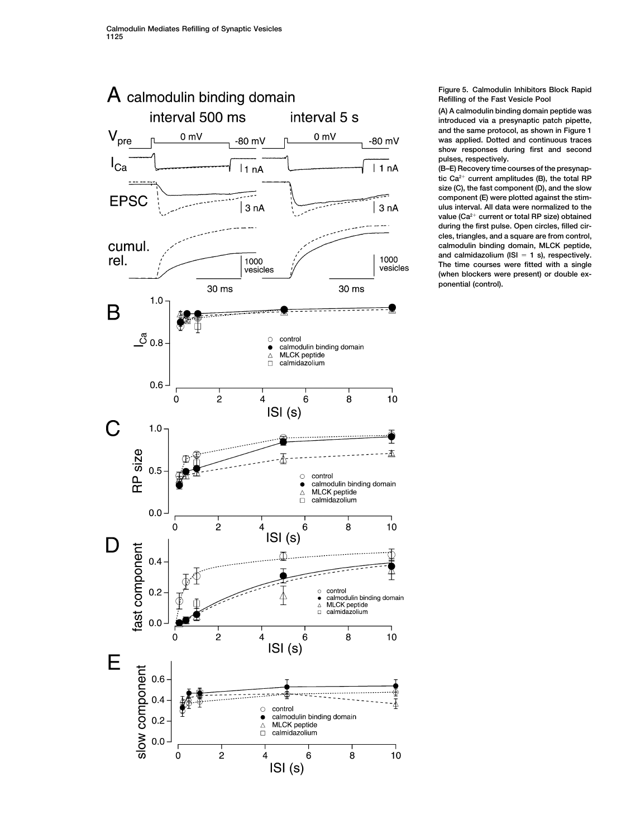

**Figure 5. Calmodulin Inhibitors Block Rapid Refilling of the Fast Vesicle Pool**

**(A) A calmodulin binding domain peptide was introduced via a presynaptic patch pipette, and the same protocol, as shown in Figure 1 was applied. Dotted and continuous traces show responses during first and second pulses, respectively.**

**(B–E) Recovery time courses of the presynaptic Ca2 current amplitudes (B), the total RP size (C), the fast component (D), and the slow component (E) were plotted against the stimulus interval. All data were normalized to the** value (Ca<sup>2+</sup> current or total RP size) obtained **during the first pulse. Open circles, filled circles, triangles, and a square are from control, calmodulin binding domain, MLCK peptide, and calmidazolium (ISI 1 s), respectively. The time courses were fitted with a single (when blockers were present) or double exponential (control).**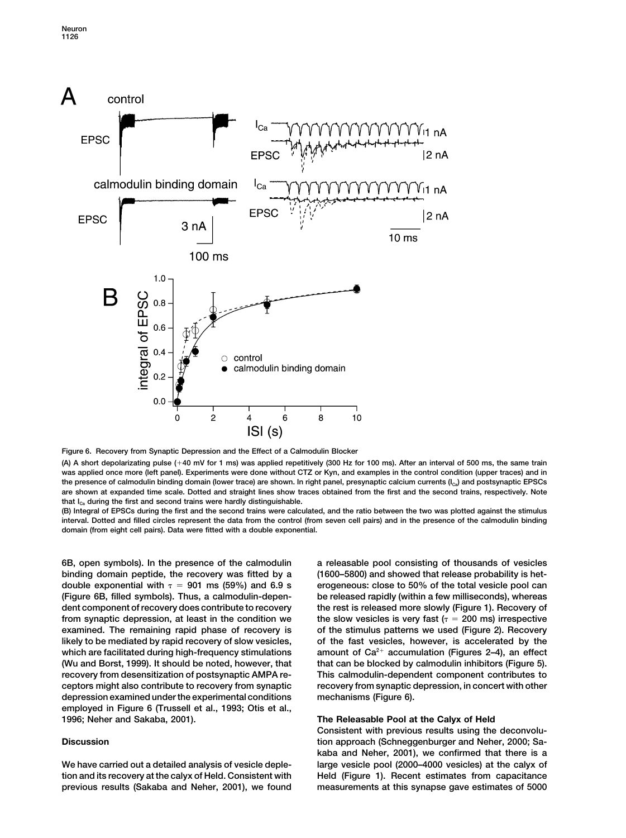

**Figure 6. Recovery from Synaptic Depression and the Effect of a Calmodulin Blocker**

**(A) A short depolarizating pulse (40 mV for 1 ms) was applied repetitively (300 Hz for 100 ms). After an interval of 500 ms, the same train was applied once more (left panel). Experiments were done without CTZ or Kyn, and examples in the control condition (upper traces) and in the presence of calmodulin binding domain (lower trace) are shown. In right panel, presynaptic calcium currents (ICa) and postsynaptic EPSCs are shown at expanded time scale. Dotted and straight lines show traces obtained from the first and the second trains, respectively. Note** that I<sub>Ca</sub> during the first and second trains were hardly distinguishable.

**(B) Integral of EPSCs during the first and the second trains were calculated, and the ratio between the two was plotted against the stimulus interval. Dotted and filled circles represent the data from the control (from seven cell pairs) and in the presence of the calmodulin binding domain (from eight cell pairs). Data were fitted with a double exponential.**

**6B, open symbols). In the presence of the calmodulin a releasable pool consisting of thousands of vesicles binding domain peptide, the recovery was fitted by a (1600–5800) and showed that release probability is hetdouble exponential with 901 ms (59%) and 6.9 s erogeneous: close to 50% of the total vesicle pool can (Figure 6B, filled symbols). Thus, a calmodulin-depen- be released rapidly (within a few milliseconds), whereas dent component of recovery does contribute to recovery the rest is released more slowly (Figure 1). Recovery of from synaptic depression, at least in the condition we the slow vesicles is very fast (** $\tau$  **= 200 ms) irrespective examined. The remaining rapid phase of recovery is of the stimulus patterns we used (Figure 2). Recovery likely to be mediated by rapid recovery of slow vesicles, of the fast vesicles, however, is accelerated by the** which are facilitated during high-frequency stimulations amount of Ca<sup>2+</sup> accumulation (Figures 2–4), an effect **(Wu and Borst, 1999). It should be noted, however, that that can be blocked by calmodulin inhibitors (Figure 5). recovery from desensitization of postsynaptic AMPA re- This calmodulin-dependent component contributes to ceptors might also contribute to recovery from synaptic recovery from synaptic depression, in concert with other depression examined under the experimental conditions mechanisms (Figure 6). employed in Figure 6 (Trussell et al., 1993; Otis et al., 1996; Neher and Sakaba, 2001). The Releasable Pool at the Calyx of Held**

**Consistent with previous results using the deconvolu-Discussion tion approach (Schneggenburger and Neher, 2000; Sakaba and Neher, 2001), we confirmed that there is a We have carried out a detailed analysis of vesicle deple- large vesicle pool (2000–4000 vesicles) at the calyx of tion and its recovery at the calyx of Held. Consistent with Held (Figure 1). Recent estimates from capacitance previous results (Sakaba and Neher, 2001), we found measurements at this synapse gave estimates of 5000**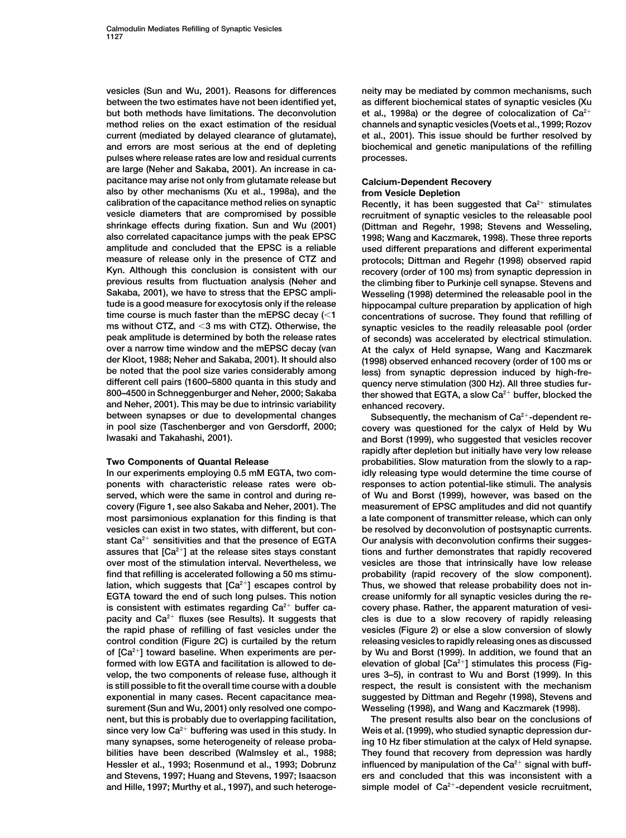**vesicles (Sun and Wu, 2001). Reasons for differences neity may be mediated by common mechanisms, such between the two estimates have not been identified yet, as different biochemical states of synaptic vesicles (Xu** but both methods have limitations. The deconvolution et al., 1998a) or the degree of colocalization of  $Ca<sup>2+</sup>$ **method relies on the exact estimation of the residual channels and synaptic vesicles (Voets et al., 1999; Rozov current (mediated by delayed clearance of glutamate), et al., 2001). This issue should be further resolved by and errors are most serious at the end of depleting biochemical and genetic manipulations of the refilling pulses where release rates are low and residual currents processes. are large (Neher and Sakaba, 2001). An increase in capacitance may arise not only from glutamate release but Calcium-Dependent Recovery also by other mechanisms (Xu et al., 1998a), and the from Vesicle Depletion vesicle diameters that are compromised by possible recruitment of synaptic vesicles to the releasable pool shrinkage effects during fixation. Sun and Wu (2001) (Dittman and Regehr, 1998; Stevens and Wesseling, amplitude and concluded that the EPSC is a reliable used different preparations and different experimental measure of release only in the presence of CTZ and protocols; Dittman and Regehr (1998) observed rapid Kyn. Although this conclusion is consistent with our recovery (order of 100 ms) from synaptic depression in previous results from fluctuation analysis (Neher and the climbing fiber to Purkinje cell synapse. Stevens and Sakaba, 2001), we have to stress that the EPSC ampli- Wesseling (1998) determined the releasable pool in the tude is a good measure for exocytosis only if the release hippocampal culture preparation by application of high time course is much faster than the mEPSC decay (1 concentrations of sucrose. They found that refilling of ms without CTZ, and 3 ms with CTZ). Otherwise, the synaptic vesicles to the readily releasable pool (order over a narrow time window and the mEPSC decay (van At the calyx of Held synapse, Wang and Kaczmarek der Kloot, 1988; Neher and Sakaba, 2001). It should also (1998) observed enhanced recovery (order of 100 ms or be noted that the pool size varies considerably among less) from synaptic depression induced by high-fredifferent cell pairs (1600–5800 quanta in this study and quency nerve stimulation (300 Hz). All three studies furand Neher, 2001). This may be due to intrinsic variability enhanced recovery.** between synapses or due to developmental changes Subsequently, the mechanism of Ca<sup>2+</sup>-dependent re-<br>
in pool size (Taschenberger and von Gersdorff, 2000; covery was questioned for the calyx of Held by Wu

**In our experiments employing 0.5 mM EGTA, two com- idly releasing type would determine the time course of ponents with characteristic release rates were ob- responses to action potential-like stimuli. The analysis served, which were the same in control and during re- of Wu and Borst (1999), however, was based on the covery (Figure 1, see also Sakaba and Neher, 2001). The measurement of EPSC amplitudes and did not quantify most parsimonious explanation for this finding is that a late component of transmitter release, which can only vesicles can exist in two states, with different, but con- be resolved by deconvolution of postsynaptic currents.** stant Ca<sup>2+</sup> sensitivities and that the presence of EGTA Our analysis with deconvolution confirms their sugges**assures that [Ca tions and further demonstrates that rapidly recovered <sup>2</sup>] at the release sites stays constant over most of the stimulation interval. Nevertheless, we vesicles are those that intrinsically have low release find that refilling is accelerated following a 50 ms stimu- probability (rapid recovery of the slow component). lation, which suggests that [Ca2] escapes control by Thus, we showed that release probability does not in-EGTA toward the end of such long pulses. This notion crease uniformly for all synaptic vesicles during the re**is consistent with estimates regarding  $Ca<sup>2+</sup>$  buffer ca- covery phase. Rather, the apparent maturation of vesi**pacity and Ca<sup>2+</sup> fluxes (see Results). It suggests that** cles is due to a slow recovery of rapidly releasing **the rapid phase of refilling of fast vesicles under the vesicles (Figure 2) or else a slow conversion of slowly control condition (Figure 2C) is curtailed by the return releasing vesicles to rapidly releasing ones as discussed of [Ca2] toward baseline. When experiments are per- by Wu and Borst (1999). In addition, we found that an** formed with low EGTA and facilitation is allowed to de-<br> **elevation of global [Ca2+]** stimulates this process (Fig**velop, the two components of release fuse, although it ures 3–5), in contrast to Wu and Borst (1999). In this is still possible to fit the overall time course with a double respect, the result is consistent with the mechanism exponential in many cases. Recent capacitance mea- suggested by Dittman and Regehr (1998), Stevens and surement (Sun and Wu, 2001) only resolved one compo- Wesseling (1998), and Wang and Kaczmarek (1998). nent, but this is probably due to overlapping facilitation, The present results also bear on the conclusions of** since very low Ca<sup>2+</sup> buffering was used in this study. In Weis et al. (1999), who studied synaptic depression dur**many synapses, some heterogeneity of release proba- ing 10 Hz fiber stimulation at the calyx of Held synapse. bilities have been described (Walmsley et al., 1988; They found that recovery from depression was hardly** Hessler et al., 1993; Rosenmund et al., 1993; Dobrunz influenced by manipulation of the Ca<sup>2+</sup> signal with buff**and Stevens, 1997; Huang and Stevens, 1997; Isaacson ers and concluded that this was inconsistent with a and Hille, 1997; Murthy et al., 1997), and such heteroge- simple model of Ca2-dependent vesicle recruitment,**

Recently, it has been suggested that Ca<sup>2+</sup> stimulates 1998; Wang and Kaczmarek, 1998). These three reports of seconds) was accelerated by electrical stimulation. **800–4500 in Schneggenburger and Neher, 2000; Sakaba ther showed that EGTA, a slow Ca2 buffer, blocked the**

covery was questioned for the calyx of Held by Wu **Iwasaki and Takahashi, 2001). and Borst (1999), who suggested that vesicles recover rapidly after depletion but initially have very low release Two Components of Quantal Release probabilities. Slow maturation from the slowly to a rap-**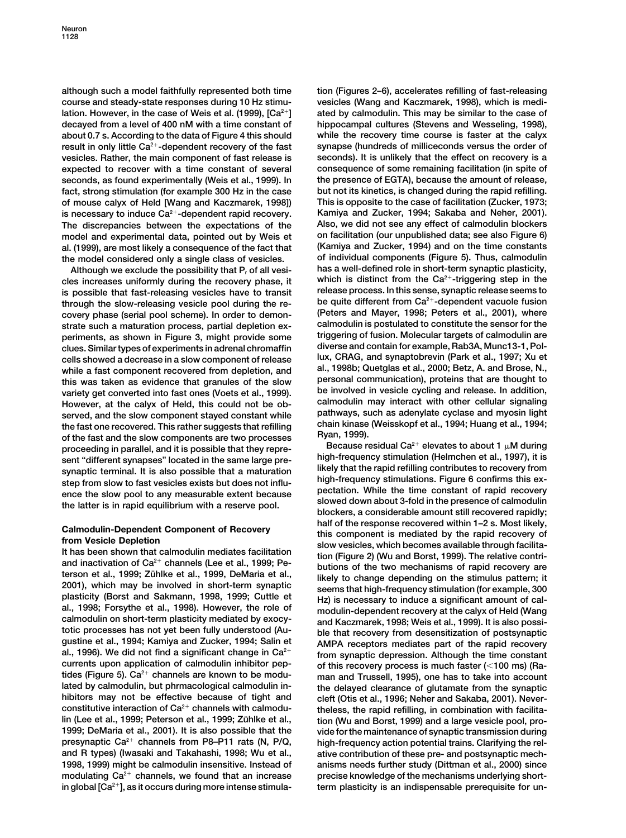**although such a model faithfully represented both time tion (Figures 2–6), accelerates refilling of fast-releasing course and steady-state responses during 10 Hz stimu- vesicles (Wang and Kaczmarek, 1998), which is medi**lation. However, in the case of Weis et al. (1999), [Ca<sup>2+</sup>] ated by calmodulin. This may be similar to the case of **decayed from a level of 400 nM with a time constant of hippocampal cultures (Stevens and Wesseling, 1998), about 0.7 s. According to the data of Figure 4 this should while the recovery time course is faster at the calyx** result in only little Ca<sup>2+</sup>-dependent recovery of the fast synapse (hundreds of milliceconds versus the order of **vesicles. Rather, the main component of fast release is seconds). It is unlikely that the effect on recovery is a expected to recover with a time constant of several consequence of some remaining facilitation (in spite of seconds, as found experimentally (Weis et al., 1999). In the presence of EGTA), because the amount of release, fact, strong stimulation (for example 300 Hz in the case but not its kinetics, is changed during the rapid refilling. of mouse calyx of Held [Wang and Kaczmarek, 1998]) This is opposite to the case of facilitation (Zucker, 1973;** is necessary to induce Ca<sup>2+</sup>-dependent rapid recovery. <br>The discrepancies between the expectations of the Also, we did not see any effect of calmodulin blockers **The discrepancies between the expectations of the Also, we did not see any effect of calmodulin blockers model and experimental data, pointed out by Weis et on facilitation (our unpublished data; see also Figure 6) al. (1999), are most likely a consequence of the fact that (Kamiya and Zucker, 1994) and on the time constants** the model considered only a single class of vesicles.

cles increases uniformly during the recovery phase, it<br>is possible that fast-releasing vesicles have to transit<br>release process. In this sense, synaptic release seems to is possible that fast-releasing vesicles have to transit **be quite different from Ca2 through the slow-releasing vesicle pool during the re- -dependent vacuole fusion covery phase (serial pool scheme). In order to demon- (Peters and Mayer, 1998; Peters et al., 2001), where strate such a maturation process, partial depletion ex- calmodulin is postulated to constitute the sensor for the periments, as shown in Figure 3, might provide some triggering of fusion. Molecular targets of calmodulin are clues. Similar types of experiments in adrenal chromaffin diverse and contain for example, Rab3A, Munc13-1, Pollux, CRAG, and synaptobrevin (Park et al., 1997; Xu et cells showed a decrease in a slow component of release while a fast component recovered from depletion, and al., 1998b; Quetglas et al., 2000; Betz, A. and Brose, N.,** this was taken as evidence that granules of the slow personal communication), proteins that are thought to<br>variety get converted into fast ones (Voets et al., 1999). be involved in vesicle cycling and release. In addition, **However, at the calyx of Held, this could not be ob- calmodulin may interact with other cellular signaling** served, and the slow component stayed constant while<br>the fast one recovered. This rather suggests that refilling<br>of the fast and the slow components are two processes<br>proceeding in parallel, and it is possible that they r **M** is parallel and in the same large pre-<br> **high-frequency stimulation** (Helmchen et al., 1997), it is sent in the same large pre-<br>
likely that the rapid refilling contributes to recovery from synaptic terminal. It is also possible that a maturation **likely that the rapid refilling contributes to recovery from**<br>**high-frequency stimulations.** Figure 6 confirms this ex-

al., 1996). We did not find a significant change in Ca<sup>2</sup> from synaptic depression. Although the time constant currents upon application of calmodulin inhibitor pep-<br>tides (Figure 5). Ca<sup>2+</sup> channels are known to be modu-<br> tides (Figure 5). Ca<sup>2+</sup> channels are known to be modu-<br>lated by calmodulin, but phrmacological calmodulin in-<br>the delayed clearance of glutamate from the synaptic **lated by calmodulin, but phrmacological calmodulin in- the delayed clearance of glutamate from the synaptic hibitors may not be effective because of tight and cleft (Otis et al., 1996; Neher and Sakaba, 2001). Never**lin (Lee et al., 1999; Peterson et al., 1999; Zühlke et al., tion (Wu and Borst, 1999) and a large vesicle pool, pro-**1999; DeMaria et al., 2001). It is also possible that the vide for the maintenance of synaptic transmission during presynaptic Ca2 channels from P8–P11 rats (N, P/Q, high-frequency action potential trains. Clarifying the reland R types) (Iwasaki and Takahashi, 1998; Wu et al., ative contribution of these pre- and postsynaptic mech-1998, 1999) might be calmodulin insensitive. Instead of anisms needs further study (Dittman et al., 2000) since** modulating Ca<sup>2+</sup> channels, we found that an increase precise knowledge of the mechanisms underlying shortin global [Ca<sup>2+</sup>], as it occurs during more intense stimula-<br> **2** *zerm plasticity is an indispensable prerequiste for un-*

Although we exclude the possibility that P<sub>r</sub> of all vesi-<br>  $\frac{1}{2}$  has a well-defined role in short-term synaptic plasticity,

step from slow to fast vesicles exists but does not influ-<br>ence the slow pool to any measurable extent because<br>the latter is in rapid equilibrium with a reserve pool.<br>the latter is in rapid equilibrium with a reserve pool. Calmodulin-Dependent Component of Recovery<br>
from Vesicle Depletion<br>
It has been shown that calmodulin mediates facilitation<br>
It has been shown that calmodulin mediates facilitation<br>
is component is mediated by the rapid r theless, the rapid refilling, in combination with facilita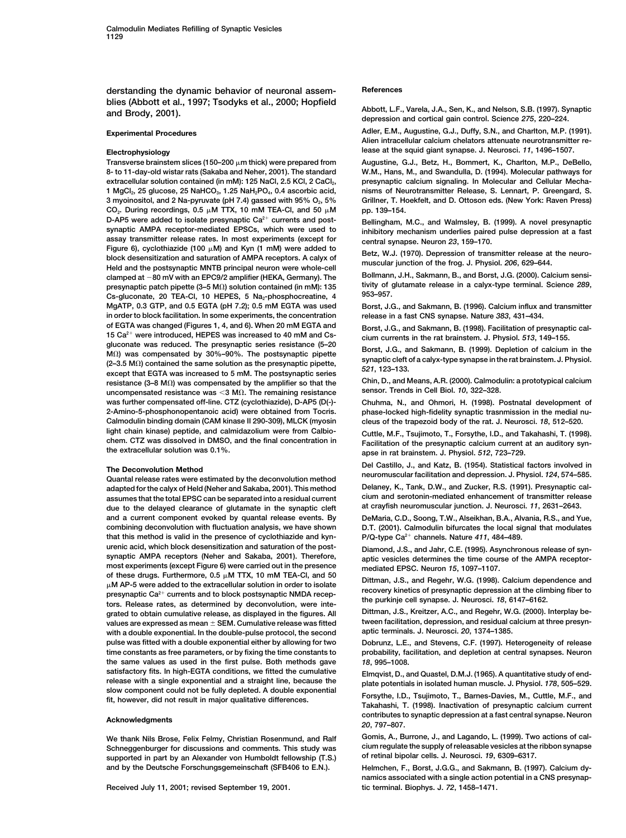**derstanding the dynamic behavior of neuronal assem- References** blies (Abbott et al., 1997; Tsodyks et al., 2000; Hopfield<br>and Brody, 2001). Abbott, L.F., Varela, J.A., Sen, K., and Nelson, S.B. (1997). Synaptic<br>depression and cortical gain control. Science 275, 220–224.

Transverse brainstem slices (150–200  $\mu$ m thick) were prepared from **8- to 11-day-old wistar rats (Sakaba and Neher, 2001). The standard W.M., Hans, M., and Swandulla, D. (1994). Molecular pathways for 1 MgCl2, 25 glucose, 25 NaHCO3, 1.25 NaH2PO4, 0.4 ascorbic acid, nisms of Neurotransmitter Release, S. Lennart, P. Greengard, S. 3 myoinositol, and 2 Na-pyruvate (pH 7.4) gassed with 95% O2, 5% Grillner, T. Hoekfelt, and D. Ottoson eds. (New York: Raven Press)** CO<sub>2</sub>. During recordings, 0.5  $\mu$ M TTX, 10 mM TEA-CI, and 50  $\mu$ **D-AP5** were added to isolate presynaptic Ca<sup>2+</sup> currents and post-<br> **Bellingham, M.C., and Walmsley, B. (1999).** A novel presynaptic synaptic synaptic AMPA receptor-mediated EPSCs, which were used to **assay transmitter release rates. In most experiments (except for central synapse. Neuron** *23***, 159–170.** Figure 6), cyclothiazide (100  $\mu$ M) and Kyn (1 mM) were added to Figure 0), Cyclomazide (100 p.m) and Kyn (1 min) were added to<br>block desensitization and saturation of AMPA receptors. A calyx of<br>Held and the postsynaptic MNTB principal neuron were whole-cell<br>Held and the postsynaptic MN **Bollmann, J.H., Sakmann, B., and Borst, J.G. (2000). Calcium sensi- clamped at 80 mV with an EPC9/2 amplifier (HEKA, Germany). The presynaptic patch pipette (3–5 M**Ω) solution contained (in mM): 135 tivity of g<br>Cs-duconate 20 TEA-CL 10 HEDES 5 Nau-phosphosraptics 4 953–957. Cs-gluconate, 20 TEA-Cl, 10 HEPES, 5 Na<sub>2</sub>-phosphocreatine, 4 **MgATP, 0.3 GTP, and 0.5 EGTA (pH 7.2); 0.5 mM EGTA was used Borst, J.G., and Sakmann, B. (1996). Calcium influx and transmitter in order to block facilitation. In some experiments, the concentration release in a fast CNS synapse. Nature** *383***, 431–434.** of EGTA was changed (Figures 1, 4, and 6). When 20 mM EGTA and<br>15 Ca<sup>2+</sup> were introduced, HEPES was increased to 40 mM and Cs-<br>gluconate was reduced. The presynaptic series resistance (5–20<br>gluconate was reduced. The presy guationale was reduced. The presynaptic senes resistance (3-20<br>
M2) vas compensated by 30%-90%. The postsynaptic pipette<br>
except that EGTA was increased to 5 mM. The postsynaptic series<br>
except that EGTA was increased to 5 resistance (3–8 M $\Omega$ ) was compensated by the amplifier so that the Chin, D., and Means, A.R. (2000). Calmodina<br>uncompensated resistance was <3 M $\Omega$ . The remaining resistance sensor. Trends in Cell Biol. 10, 322–328. **uncompensated resistance was 3 M sensor. Trends in Cell Biol.** *10***, 322–328. . The remaining resistance was further compensated off-line. CTZ (cyclothiazide), D-AP5 (D(-)- Chuhma, N., and Ohmori, H. (1998). Postnatal development of 2-Amino-5-phosphonopentanoic acid) were obtained from Tocris. phase-locked high-fidelity synaptic trasnmission in the medial nu-Calmodulin binding domain (CAM kinase II 290-309), MLCK (myosin cleus of the trapezoid body of the rat. J. Neurosci.** *18***, 512–520.** light chain kinase) peptide, and calmidazolium were from Calbio-<br>chem. CTZ was dissolved in DMSO, and the final concentration in<br>the extracellular solution was 0.1%.<br>apse in rat brainstem. J. Physiol. 512, 723–729.

**Delaney, K., Tank, D.W., and Zucker, R.S. (1991). Presynaptic cal- adapted for the calyx of Held (Neher and Sakaba, 2001). This method cium and serotonin-mediated enhancement of transmitter release assumes that the total EPSC can be separated into a residual current** due to the delayed clearance of glutamate in the synaptic cleft **and a current component evoked by quantal release events. By DeMaria, C.D., Soong, T.W., Alseikhan, B.A., Alvania, R.S., and Yue, combining deconvolution with fluctuation analysis, we have shown D.T. (2001). Calmodulin bifurcates the local signal that modulates that this method is valid in the presence of cyclothiazide and kyn- P/Q-type Ca2 channels. Nature** *411***, 484–489.** urenic acid, which block desensitization and saturation of the post-<br>synaptic AMPA receptors (Neher and Sakaba, 2001). Therefore,<br>most experiments (except Figure 6) were carried out in the presence<br>mediated EPSC. Neuron 15 of these drugs. Furthermore,  $0.5 \mu M$  TTX, 10 mM TEA-CI, and 50 M AP-5 messes analysing and the extracted lular solution in order to isolate<br>  $\mu$  M AP-5 were added to the extracted lular solution in order to isolate<br>
recovery kinetics of presynaptic depression at the climbing fiber to presynaptic Ca<sup>2+</sup> currents and to block postsynaptic NMDA recep-<br>tors. Release rates, as determined by deconvolution, were inte-<br>grated to obtain cumulative release, as displayed in the figures. All Dittman, J.S., Kreitze **grated to obtain cumulative release, as displayed in the figures. All Dittman, J.S., Kreitzer, A.C., and Regehr, W.G. (2000). Interplay be**values are expressed as mean  $\pm$  SEM. Cumulative release was fitted tween facilitation, depression, and residual c<br>with a double exponential, In the double-pulse protocol, the second aptic terminals. J. Neurosci, 20, 1374 **with a double exponential. In the double-pulse protocol, the second aptic terminals. J. Neurosci.** *20***, 1374–1385. pulse was fitted with a double exponential either by allowing for two Dobrunz, L.E., and Stevens, C.F. (1997). Heterogeneity of release time constants as free parameters, or by fixing the time constants to probability, facilitation, and depletion at central synapses. Neuron the same values as used in the first pulse. Both methods gave** *18***, 995–1008.** satisfactory fits. In high-EGTA conditions, we fitted the cumulative<br>release with a single exponential and a straight line, because the plate potentials in isolated human muscle. J. Physiol. 178, 505–529.<br>Slow component co

Schneggenburger for discussions and comments. This study was **cium regulate the supply of releasable vesicles at the Straps of retional synapses**<br>Supported in part by an Alexander von Humboldt fellowship (T.S.) of retinal supported in part by an Alexander von Humboldt fellowship (T.S.) **and by the Deutsche Forschungsgemeinschaft (SFB406 to E.N.). Helmchen, F., Borst, J.G.G., and Sakmann, B. (1997). Calcium dy-**

Received July 11, 2001; revised September 19, 2001.

**Experimental Procedures Adler, E.M., Augustine, G.J., Duffy, S.N., and Charlton, M.P. (1991). Alien intracellular calcium chelators attenuate neurotransmitter re-Electrophysiology lease at the squid giant synapse. J. Neurosci.** *11***, 1496–1507.**

> **m thick) were prepared from Augustine, G.J., Betz, H., Bommert, K., Charlton, M.P., DeBello,** presynaptic calcium signaling. In Molecular and Cellular Mecha-**M pp. 139–154.**

> inhibitory mechanism underlies paired pulse depression at a fast

The Deconvolution Method<br>Quantal release rates were estimated by the deconvolution method<br>adapted for the calvx of Held (Neber and Sakaba 2001) This method Delaney, K., Tank, D.W., and Zucker, R.S. (1991). Presynaptic cal-

fit, however, did not result in major qualitative differences.<br>
fit, however, did not result in major qualitative differences.<br>
Takahashi, T. (1998). Inactivation of presynaptic calcium current **contributes to synaptic depression at a fast central synapse. Neuron Acknowledgments** *<sup>20</sup>***, 797–807.**

We thank Nils Brose, Felix Felmy, Christian Rosenmund, and Ralf Gomis, A., Burrone, J., and Lagando, L. (1999). Two actions of cal-<br>Schneggenburger for discussions and comments. This study was cium regulate the supply of r

**namics associated with a single action potential in a CNS presynap-**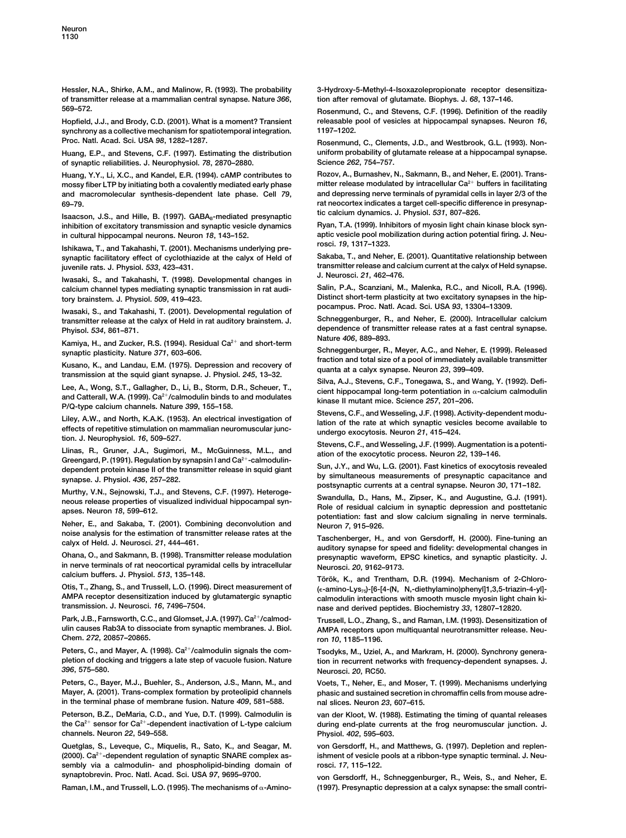**of transmitter release at a mammalian central synapse. Nature** *366***, tion after removal of glutamate. Biophys. J.** *68***, 137–146. 569–572. Rosenmund, C., and Stevens, C.F. (1996). Definition of the readily**

**synchrony as a collective mechanism for spatiotemporal integration. 1197–1202.** Proc. Natl. Acad. Sci. USA 98, 1282-1287. **But a strong of the Scienmund, C., Clements, J.D., and Westbrook, G.L. (1993). Non-**

**of synaptic reliabilities. J. Neurophysiol. 78, 2870–2880.** 

mossy fiber LTP by initiating both a covalently mediated early phase mitter release modulated by intracellular Ca<sup>2+</sup> buffers in facilitating<br>and macromolecular synthesis-dependent late phase. Cell 79. and depressing nerve and macromolecular synthesis-dependent late phase. Cell 79,

**tic calcium dynamics. J. Physiol.** *<sup>531</sup>***, 807–826. Isaacson, J.S., and Hille, B. (1997). GABAB-mediated presynaptic** inhibition of excitatory transmission and synaptic vesicle dynamics

Ishikawa, T., and Takahashi, T. (2001). Mechanisms underlying pre**synaptic facilitatory effect of cyclothiazide at the calyx of Held of Sakaba, T., and Neher, E. (2001). Quantitative relationship between**

**J. Neurosci.** *<sup>21</sup>***, 462–476. Iwasaki, S., and Takahashi, T. (1998). Developmental changes in** calcium channel types mediating synaptic transmission in rat audi-

**pocampus. Proc. Natl. Acad. Sci. USA** *<sup>93</sup>***, 13304–13309. Iwasaki, S., and Takahashi, T. (2001). Developmental regulation of** transmitter release at the calyx of Held in rat auditory brainstem. J.

**Nature** *<sup>406</sup>***, 889–893. Kamiya, H., and Zucker, R.S. (1994). Residual Ca2 and short-term**

Kusano, K., and Landau, E.M. (1975). Depression and recovery of<br>transmission at the squid giant synapse. J. Physiol. 245, 13–32.<br>Silva, A.J., Stevens, C.F., Tonegawa, S., and Wang, Y. (1992). Defi-

and Catterall, W.A. (1999). Ca<sup>2+</sup>/calmodulin binds to and modulates<br>
P/Q-type calcium channels. Nature 399, 155–158.<br>
Liley, A.W., and North, K.A.K. (1953). An electrical investigation of<br>
Liley, A.W., and North, K.A.K.

Greengard, P. (1991). Regulation by synapsin I and Ca<sup>2+</sup>-calmodulin-<br>dependent protein kinase II of the transmitter release in squid giant<br>synapse. J. Physiol. 436, 257-282.<br>Murthy, V.N., Sejnowski, T.J., and Stevens, C.F

**Neher, E., and Sakaba, T. (2001). Combining deconvolution and Neuron** *7***, 915–926.**

**in nerve terminals of rat neocortical pyramidal cells by intracellular Neurosci.** *20***, 9162–9173.**

**AMPA receptor desensitization induced by glutamatergic synaptic calmodulin interactions with smooth muscle myosin light chain ki-**

Park, J.B., Farnsworth, C.C., and Glomset, J.A. (1997). Ca<sup>2+</sup>/calmod-<br>ulin causes Rab3A to dissociate from synaptic membranes. J. Biol. AMPA receptors upon multiquantal neurotransmitter release. Neu-**Chem.** *272***, 20857–20865. ron** *10***, 1185–1196.**

**Peters, C., and Mayer, A. (1998). Ca2/calmodulin signals the com- Tsodyks, M., Uziel, A., and Markram, H. (2000). Synchrony generapletion of docking and triggers a late step of vacuole fusion. Nature tion in recurrent networks with frequency-dependent synapses. J.**

**Peters, C., Bayer, M.J., Buehler, S., Anderson, J.S., Mann, M., and Voets, T., Neher, E., and Moser, T. (1999). Mechanisms underlying in the terminal phase of membrane fusion. Nature** *409***, 581–588. nal slices. Neuron** *23***, 607–615.**

**Peterson, B.Z., DeMaria, C.D., and Yue, D.T. (1999). Calmodulin is van der Kloot, W. (1988). Estimating the timing of quantal releases channels. Neuron** *22***, 549–558. Physiol.** *402***, 595–603.**

**Quetglas, S., Leveque, C., Miquelis, R., Sato, K., and Seagar, M. von Gersdorff, H., and Matthews, G. (1997). Depletion and replen-** (2000). Ca<sup>2+</sup>-dependent regulation of synaptic SNARE complex as-<br>
ishment of vesicle pools at a ribbon-type synaptic terminal. J. Neu**sembly via a calmodulin- and phospholipid-binding domain of rosci.** *17***, 115–122. synaptobrevin. Proc. Natl. Acad. Sci. USA** *97***, 9695–9700. von Gersdorff, H., Schneggenburger, R., Weis, S., and Neher, E.**

**Raman, I.M., and Trussell, L.O. (1995). The mechanisms of**

**Hessler, N.A., Shirke, A.M., and Malinow, R. (1993). The probability 3-Hydroxy-5-Methyl-4-Isoxazolepropionate receptor desensitiza-**

**Hopfield, J.J., and Brody, C.D. (2001). What is a moment? Transient releasable pool of vesicles at hippocampal synapses. Neuron** *16***,**

**Huang, E.P., and Stevens, C.F. (1997). Estimating the distribution uniform probability of glutamate release at a hippocampal synapse.**

**Huang, Y.Y., Li, X.C., and Kandel, E.R. (1994). cAMP contributes to Rozov, A., Burnashev, N., Sakmann, B., and Neher, E. (2001). Trans-69–79. rat neocortex indicates a target cell-specific difference in presynap-**

**in cultural hippocampal neurons. Neuron** *18***, 143–152. aptic vesicle pool mobilization during action potential firing. J. Neu-**

**transmitter release and calcium current at the calyx of Held synapse. juvenile rats. J. Physiol.** *533***, 423–431.**

**Distinct short-term plasticity at two excitatory synapses in the hip- tory brainstem. J. Physiol.** *509***, 419–423.**

**Phyisol. 534, 861–871.**<br> **Rature 406, 889–893.**<br> **Nature 406, 889–893.**<br> **Nature 406, 889–893.** 

**Schneggenburger, R., Meyer, A.C., and Neher, E. (1999). Released synaptic plasticity. Nature** *371***, 603–606.**

Lee, A., Wong, S.T., Gallagher, D., Li, B., Storm, D.R., Scheuer, T., Silva, A.J., Stevens, C.F., Tonegawa, S., and Wang, Y. (1992). Defi-<br>cient hippocampal long-term potentiation in α-calcium calmodulin

manny, v.v., beliowski, r.b., and develosi, o.r. (1997). Therefoge-<br>neous release properties of visualized individual hippocampal syn-<br>apses. Neuron 18, 599–612.<br>potentiation: fast and slow calcium signaling in nerve termi

Taschenberger, H., and von Gersdorff, H. (2000). Fine-tuning an calyx of Held. J. Neurosci. 21, 444-461.<br>Chana, O., and Sakmann, B. (1998). Transmitter release modulation and intervention waveform EPSC kinetics and synamti presynaptic waveform, EPSC kinetics, and synaptic plasticity. J.

calcium buffers. J. Physiol. 313, 135–146.<br>Otis, T., Zhang, S., and Trussell, L.O. (1996). Direct measurement of *re-amino-Lys.*, L6-f4-(N. N.-diethylamino)phenyll1.3.5-triazin-4-yll-**Otis, T., Zhang, S., and Trussell, L.O. (1996). Direct measurement of (-amino-Lys75)-[6-[4-(N, N,-diethylamino)phenyl]1,3,5-triazin-4-yl] transmission. J. Neurosci.** *16***, 7496–7504. nase and derived peptides. Biochemistry** *33***, 12807–12820.**

AMPA receptors upon multiquantal neurotransmitter release. Neu-

*396***, 575–580. Neurosci.** *20***, RC50.**

phasic and sustained secretion in chromaffin cells from mouse adre-

**the Ca2 sensor for Ca2-dependent inactivation of L-type calcium during end-plate currents at the frog neuromuscular junction. J.**

**-Amino- (1997). Presynaptic depression at a calyx synapse: the small contri-**